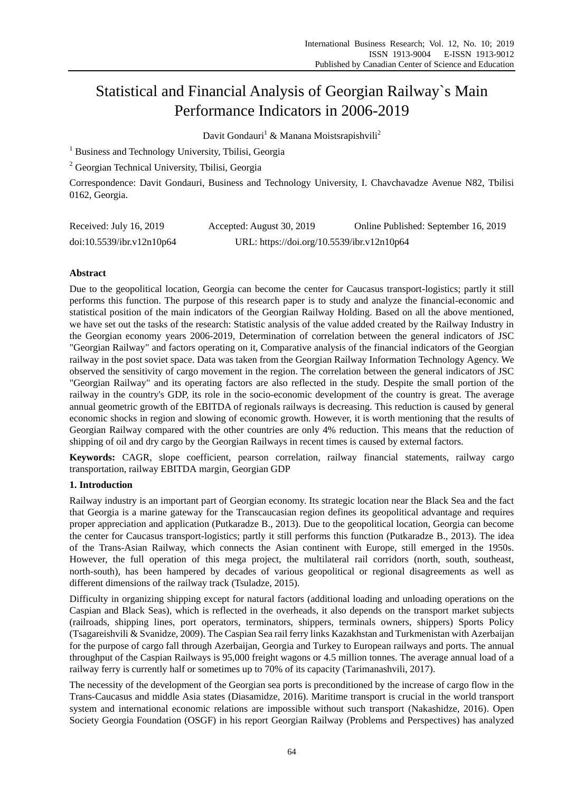# Statistical and Financial Analysis of Georgian Railway`s Main Performance Indicators in 2006-2019

Davit Gondauri<sup>1</sup> & Manana Moistsrapishvili<sup>2</sup>

<sup>1</sup> Business and Technology University, Tbilisi, Georgia

<sup>2</sup> Georgian Technical University, Tbilisi, Georgia

Correspondence: Davit Gondauri, Business and Technology University, I. Chavchavadze Avenue N82, Tbilisi 0162, Georgia.

| Received: July 16, 2019   | Accepted: August 30, 2019                  | Online Published: September 16, 2019 |
|---------------------------|--------------------------------------------|--------------------------------------|
| doi:10.5539/ibr.v12n10p64 | URL: https://doi.org/10.5539/ibr.v12n10p64 |                                      |

## **Abstract**

Due to the geopolitical location, Georgia can become the center for Caucasus transport-logistics; partly it still performs this function. The purpose of this research paper is to study and analyze the financial-economic and statistical position of the main indicators of the Georgian Railway Holding. Based on all the above mentioned, we have set out the tasks of the research: Statistic analysis of the value added created by the Railway Industry in the Georgian economy years 2006-2019, Determination of correlation between the general indicators of JSC "Georgian Railway" and factors operating on it, Comparative analysis of the financial indicators of the Georgian railway in the post soviet space. Data was taken from the Georgian Railway Information Technology Agency. We observed the sensitivity of cargo movement in the region. The correlation between the general indicators of JSC "Georgian Railway" and its operating factors are also reflected in the study. Despite the small portion of the railway in the country's GDP, its role in the socio-economic development of the country is great. The average annual geometric growth of the EBITDA of regionals railways is decreasing. This reduction is caused by general economic shocks in region and slowing of economic growth. However, it is worth mentioning that the results of Georgian Railway compared with the other countries are only 4% reduction. This means that the reduction of shipping of oil and dry cargo by the Georgian Railways in recent times is caused by external factors.

**Keywords:** CAGR, slope coefficient, pearson correlation, railway financial statements, railway cargo transportation, railway EBITDA margin, Georgian GDP

## **1. Introduction**

Railway industry is an important part of Georgian economy. Its strategic location near the Black Sea and the fact that Georgia is a marine gateway for the Transcaucasian region defines its geopolitical advantage and requires proper appreciation and application (Putkaradze B., 2013). Due to the geopolitical location, Georgia can become the center for Caucasus transport-logistics; partly it still performs this function (Putkaradze B., 2013). The idea of the Trans-Asian Railway, which connects the Asian continent with Europe, still emerged in the 1950s. However, the full operation of this mega project, the multilateral rail corridors (north, south, southeast, north-south), has been hampered by decades of various geopolitical or regional disagreements as well as different dimensions of the railway track (Tsuladze, 2015).

Difficulty in organizing shipping except for natural factors (additional loading and unloading operations on the Caspian and Black Seas), which is reflected in the overheads, it also depends on the transport market subjects (railroads, shipping lines, port operators, terminators, shippers, terminals owners, shippers) Sports Policy (Tsagareishvili & Svanidze, 2009). The Caspian Sea rail ferry links Kazakhstan and Turkmenistan with Azerbaijan for the purpose of cargo fall through Azerbaijan, Georgia and Turkey to European railways and ports. The annual throughput of the Caspian Railways is 95,000 freight wagons or 4.5 million tonnes. The average annual load of a railway ferry is currently half or sometimes up to 70% of its capacity (Tarimanashvili, 2017).

The necessity of the development of the Georgian sea ports is preconditioned by the increase of cargo flow in the Trans-Caucasus and middle Asia states (Diasamidze, 2016). Maritime transport is crucial in the world transport system and international economic relations are impossible without such transport (Nakashidze, 2016). Open Society Georgia Foundation (OSGF) in his report Georgian Railway (Problems and Perspectives) has analyzed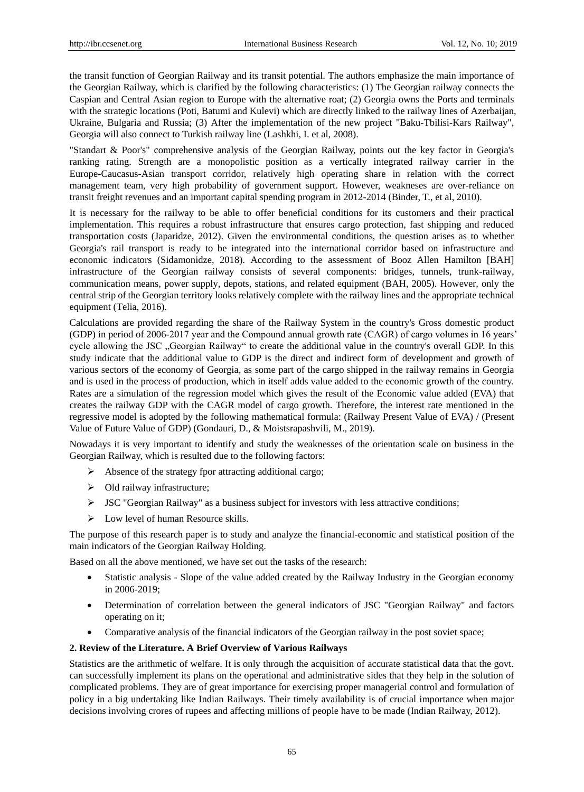the transit function of Georgian Railway and its transit potential. The authors emphasize the main importance of the Georgian Railway, which is clarified by the following characteristics: (1) The Georgian railway connects the Caspian and Central Asian region to Europe with the alternative roat; (2) Georgia owns the Ports and terminals with the strategic locations (Poti, Batumi and Kulevi) which are directly linked to the railway lines of Azerbaijan, Ukraine, Bulgaria and Russia; (3) After the implementation of the new project "Baku-Tbilisi-Kars Railway", Georgia will also connect to Turkish railway line (Lashkhi, I. et al, 2008).

"Standart & Poor's" comprehensive analysis of the Georgian Railway, points out the key factor in Georgia's ranking rating. Strength are a monopolistic position as a vertically integrated railway carrier in the Europe-Caucasus-Asian transport corridor, relatively high operating share in relation with the correct management team, very high probability of government support. However, weakneses are over-reliance on transit freight revenues and an important capital spending program in 2012-2014 (Binder, T., et al, 2010).

It is necessary for the railway to be able to offer beneficial conditions for its customers and their practical implementation. This requires a robust infrastructure that ensures cargo protection, fast shipping and reduced transportation costs (Japaridze, 2012). Given the environmental conditions, the question arises as to whether Georgia's rail transport is ready to be integrated into the international corridor based on infrastructure and economic indicators (Sidamonidze, 2018). According to the assessment of Booz Allen Hamilton [BAH] infrastructure of the Georgian railway consists of several components: bridges, tunnels, trunk-railway, communication means, power supply, depots, stations, and related equipment (BAH, 2005). However, only the central strip of the Georgian territory looks relatively complete with the railway lines and the appropriate technical equipment (Telia, 2016).

Calculations are provided regarding the share of the Railway System in the country's Gross domestic product (GDP) in period of 2006-2017 year and the Compound annual growth rate (CAGR) of cargo volumes in 16 years' cycle allowing the JSC "Georgian Railway" to create the additional value in the country's overall GDP. In this study indicate that the additional value to GDP is the direct and indirect form of development and growth of various sectors of the economy of Georgia, as some part of the cargo shipped in the railway remains in Georgia and is used in the process of production, which in itself adds value added to the economic growth of the country. Rates are a simulation of the regression model which gives the result of the Economic value added (EVA) that creates the railway GDP with the CAGR model of cargo growth. Therefore, the interest rate mentioned in the regressive model is adopted by the following mathematical formula: (Railway Present Value of EVA) / (Present Value of Future Value of GDP) (Gondauri, D., & Moistsrapashvili, M., 2019).

Nowadays it is very important to identify and study the weaknesses of the orientation scale on business in the Georgian Railway, which is resulted due to the following factors:

- $\triangleright$  Absence of the strategy fpor attracting additional cargo;
- > Old railway infrastructure;
- > JSC "Georgian Railway" as a business subject for investors with less attractive conditions;
- $\triangleright$  Low level of human Resource skills.

The purpose of this research paper is to study and analyze the financial-economic and statistical position of the main indicators of the Georgian Railway Holding.

Based on all the above mentioned, we have set out the tasks of the research:

- Statistic analysis Slope of the value added created by the Railway Industry in the Georgian economy in 2006-2019;
- Determination of correlation between the general indicators of JSC "Georgian Railway" and factors operating on it;
- Comparative analysis of the financial indicators of the Georgian railway in the post soviet space;

## **2. Review of the Literature. A Brief Overview of Various Railways**

Statistics are the arithmetic of welfare. It is only through the acquisition of accurate statistical data that the govt. can successfully implement its plans on the operational and administrative sides that they help in the solution of complicated problems. They are of great importance for exercising proper managerial control and formulation of policy in a big undertaking like Indian Railways. Their timely availability is of crucial importance when major decisions involving crores of rupees and affecting millions of people have to be made (Indian Railway, 2012).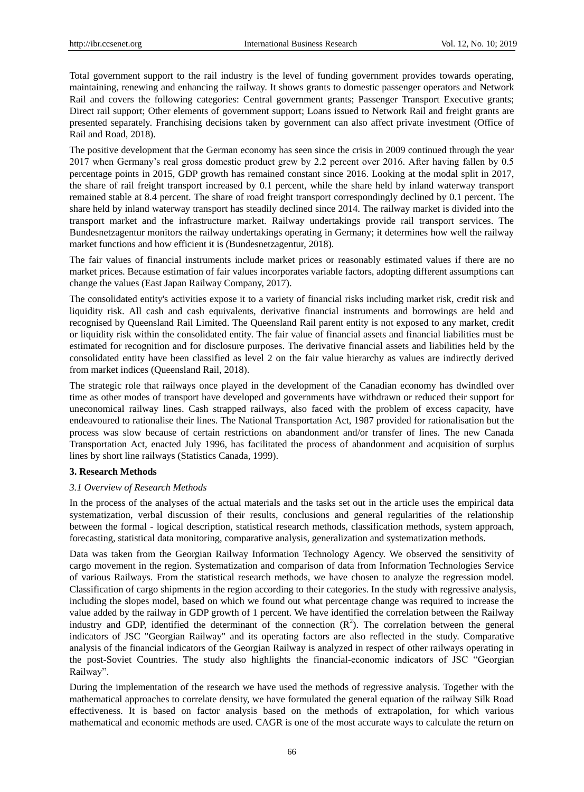Total government support to the rail industry is the level of funding government provides towards operating, maintaining, renewing and enhancing the railway. It shows grants to domestic passenger operators and Network Rail and covers the following categories: Central government grants; Passenger Transport Executive grants; Direct rail support; Other elements of government support; Loans issued to Network Rail and freight grants are presented separately. Franchising decisions taken by government can also affect private investment (Office of Rail and Road, 2018).

The positive development that the German economy has seen since the crisis in 2009 continued through the year 2017 when Germany's real gross domestic product grew by 2.2 percent over 2016. After having fallen by 0.5 percentage points in 2015, GDP growth has remained constant since 2016. Looking at the modal split in 2017, the share of rail freight transport increased by 0.1 percent, while the share held by inland waterway transport remained stable at 8.4 percent. The share of road freight transport correspondingly declined by 0.1 percent. The share held by inland waterway transport has steadily declined since 2014. The railway market is divided into the transport market and the infrastructure market. Railway undertakings provide rail transport services. The Bundesnetzagentur monitors the railway undertakings operating in Germany; it determines how well the railway market functions and how efficient it is (Bundesnetzagentur, 2018).

The fair values of financial instruments include market prices or reasonably estimated values if there are no market prices. Because estimation of fair values incorporates variable factors, adopting different assumptions can change the values (East Japan Railway Company, 2017).

The consolidated entity's activities expose it to a variety of financial risks including market risk, credit risk and liquidity risk. All cash and cash equivalents, derivative financial instruments and borrowings are held and recognised by Queensland Rail Limited. The Queensland Rail parent entity is not exposed to any market, credit or liquidity risk within the consolidated entity. The fair value of financial assets and financial liabilities must be estimated for recognition and for disclosure purposes. The derivative financial assets and liabilities held by the consolidated entity have been classified as level 2 on the fair value hierarchy as values are indirectly derived from market indices (Queensland Rail, 2018).

The strategic role that railways once played in the development of the Canadian economy has dwindled over time as other modes of transport have developed and governments have withdrawn or reduced their support for uneconomical railway lines. Cash strapped railways, also faced with the problem of excess capacity, have endeavoured to rationalise their lines. The National Transportation Act, 1987 provided for rationalisation but the process was slow because of certain restrictions on abandonment and/or transfer of lines. The new Canada Transportation Act, enacted July 1996, has facilitated the process of abandonment and acquisition of surplus lines by short line railways (Statistics Canada, 1999).

#### **3. Research Methods**

## *3.1 Overview of Research Methods*

In the process of the analyses of the actual materials and the tasks set out in the article uses the empirical data systematization, verbal discussion of their results, conclusions and general regularities of the relationship between the formal - logical description, statistical research methods, classification methods, system approach, forecasting, statistical data monitoring, comparative analysis, generalization and systematization methods.

Data was taken from the Georgian Railway Information Technology Agency. We observed the sensitivity of cargo movement in the region. Systematization and comparison of data from Information Technologies Service of various Railways. From the statistical research methods, we have chosen to analyze the regression model. Classification of cargo shipments in the region according to their categories. In the study with regressive analysis, including the slopes model, based on which we found out what percentage change was required to increase the value added by the railway in GDP growth of 1 percent. We have identified the correlation between the Railway industry and GDP, identified the determinant of the connection  $(R^2)$ . The correlation between the general indicators of JSC "Georgian Railway" and its operating factors are also reflected in the study. Comparative analysis of the financial indicators of the Georgian Railway is analyzed in respect of other railways operating in the post-Soviet Countries. The study also highlights the financial-economic indicators of JSC "Georgian Railway".

During the implementation of the research we have used the methods of regressive analysis. Together with the mathematical approaches to correlate density, we have formulated the general equation of the railway Silk Road effectiveness. It is based on factor analysis based on the methods of extrapolation, for which various mathematical and economic methods are used. CAGR is one of the most accurate ways to calculate the return on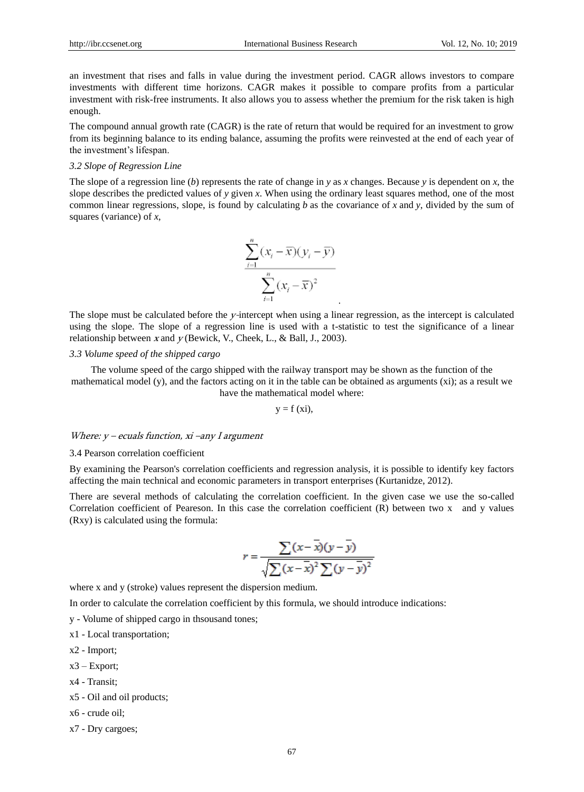an investment that rises and falls in value during the investment period. CAGR allows investors to compare investments with different time horizons. CAGR makes it possible to compare profits from a particular investment with risk-free instruments. It also allows you to assess whether the premium for the risk taken is high enough.

The compound annual growth rate (CAGR) is the rate of return that would be required for an investment to grow from its beginning balance to its ending balance, assuming the profits were reinvested at the end of each year of the investment's lifespan.

#### *3.2 Slope of Regression Line*

The slope of a regression line (*b*) represents the rate of change in *y* as *x* changes. Because *y* is dependent on *x*, the slope describes the predicted values of *y* given *x*. When using the ordinary least squares method, one of the most common linear regressions, slope, is found by calculating *b* as the covariance of *x* and *y*, divided by the sum of squares (variance) of *x*,

$$
\frac{\sum_{i=1}^{n} (x_i - \overline{x})(y_i - \overline{y})}{\sum_{i=1}^{n} (x_i - \overline{x})^2}
$$

The slope must be calculated before the y-intercept when using a linear regression, as the intercept is calculated using the slope. The slope of a regression line is used with a t-statistic to test the significance of a linear relationship between  $x$  and  $y$  (Bewick, V., Cheek, L., & Ball, J., 2003).

.

#### *3.3 Volume speed of the shipped cargo*

The volume speed of the cargo shipped with the railway transport may be shown as the function of the mathematical model (y), and the factors acting on it in the table can be obtained as arguments (xi); as a result we have the mathematical model where:

 $y = f (xi)$ ,

#### Where:  $y$  – ecuals function,  $xi$  –any I argument

#### 3.4 Pearson correlation coefficient

By examining the Pearson's correlation coefficients and regression analysis, it is possible to identify key factors affecting the main technical and economic parameters in transport enterprises (Kurtanidze, 2012).

There are several methods of calculating the correlation coefficient. In the given case we use the so-called Correlation coefficient of Peareson. In this case the correlation coefficient (R) between two x and y values (Rxy) is calculated using the formula:

$$
r = \frac{\sum (x - \overline{x})(y - \overline{y})}{\sqrt{\sum (x - \overline{x})^2 \sum (y - \overline{y})^2}}
$$

where x and y (stroke) values represent the dispersion medium.

In order to calculate the correlation coefficient by this formula, we should introduce indications:

- y Volume of shipped cargo in thsousand tones;
- x1 Local transportation;
- x2 Import;
- $x3 Export;$
- x4 Transit;
- x5 Oil and oil products;
- x6 crude oil;
- x7 Dry cargoes;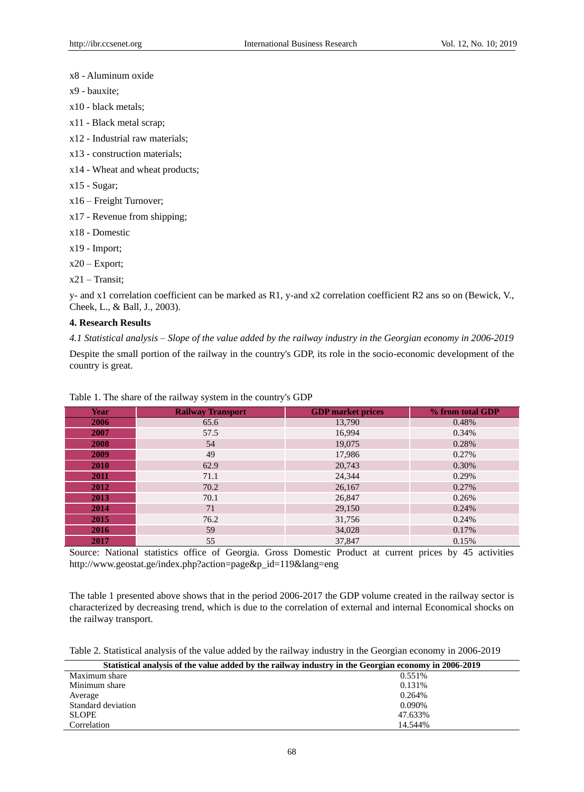#### x8 - Aluminum oxide

- x9 bauxite;
- x10 black metals;
- x11 Black metal scrap;
- x12 Industrial raw materials;
- x13 construction materials;
- x14 Wheat and wheat products;
- x15 Sugar;
- x16 Freight Turnover;
- x17 Revenue from shipping;
- x18 Domestic
- x19 Import;
- x20 Export;
- $x21 Transit;$

y- and x1 correlation coefficient can be marked as R1, y-and x2 correlation coefficient R2 ans so on (Bewick, V., Cheek, L., & Ball, J., 2003).

## **4. Research Results**

*4.1 Statistical analysis – Slope of the value added by the railway industry in the Georgian economy in 2006-2019*

Despite the small portion of the railway in the country's GDP, its role in the socio-economic development of the country is great.

| <b>Year</b> | <b>Railway Transport</b> | <b>GDP</b> market prices | % from total GDP |
|-------------|--------------------------|--------------------------|------------------|
| 2006        | 65.6                     | 13,790                   | 0.48%            |
| 2007        | 57.5                     | 16,994                   | 0.34%            |
| 2008        | 54                       | 19,075                   | 0.28%            |
| 2009        | 49                       | 17,986                   | 0.27%            |
| 2010        | 62.9                     | 20,743                   | 0.30%            |
| <b>2011</b> | 71.1                     | 24,344                   | 0.29%            |
| 2012        | 70.2                     | 26,167                   | 0.27%            |
| 2013        | 70.1                     | 26,847                   | 0.26%            |
| 2014        | 71                       | 29,150                   | 0.24%            |
| 2015        | 76.2                     | 31,756                   | 0.24%            |
| 2016        | 59                       | 34,028                   | 0.17%            |
| 2017        | 55                       | 37,847                   | 0.15%            |

Table 1. The share of the railway system in the country's GDP

Source: National statistics office of Georgia. Gross Domestic Product at current prices by 45 activities http://www.geostat.ge/index.php?action=page&p\_id=119&lang=eng

The table 1 presented above shows that in the period 2006-2017 the GDP volume created in the railway sector is characterized by decreasing trend, which is due to the correlation of external and internal Economical shocks on the railway transport.

Table 2. Statistical analysis of the value added by the railway industry in the Georgian economy in 2006-2019

|                    | Statistical analysis of the value added by the railway industry in the Georgian economy in 2006-2019 |  |  |  |  |  |  |  |  |  |
|--------------------|------------------------------------------------------------------------------------------------------|--|--|--|--|--|--|--|--|--|
| Maximum share      | 0.551%                                                                                               |  |  |  |  |  |  |  |  |  |
| Minimum share      | 0.131\%                                                                                              |  |  |  |  |  |  |  |  |  |
| Average            | 0.264%                                                                                               |  |  |  |  |  |  |  |  |  |
| Standard deviation | $0.090\%$                                                                                            |  |  |  |  |  |  |  |  |  |
| <b>SLOPE</b>       | 47.633%                                                                                              |  |  |  |  |  |  |  |  |  |
| Correlation        | 14.544%                                                                                              |  |  |  |  |  |  |  |  |  |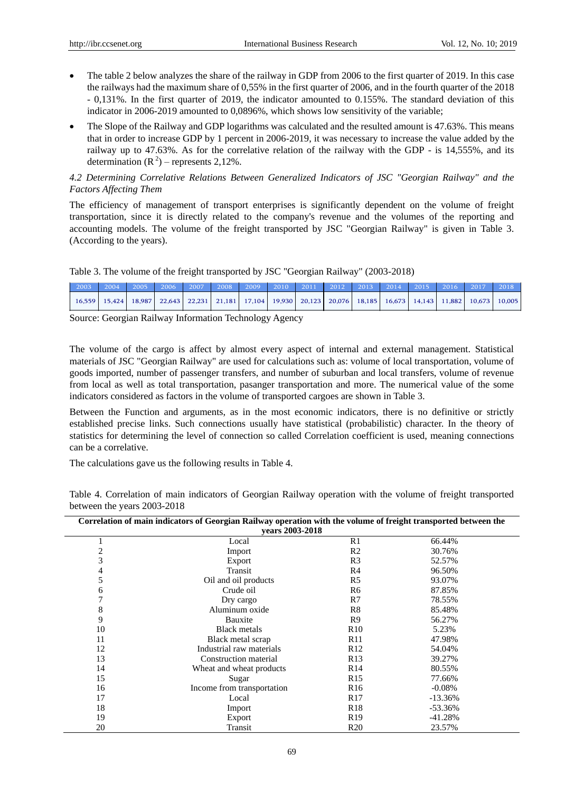- The table 2 below analyzes the share of the railway in GDP from 2006 to the first quarter of 2019. In this case the railways had the maximum share of 0,55% in the first quarter of 2006, and in the fourth quarter of the 2018 - 0,131%. In the first quarter of 2019, the indicator amounted to 0.155%. The standard deviation of this indicator in 2006-2019 amounted to 0,0896%, which shows low sensitivity of the variable;
- The Slope of the Railway and GDP logarithms was calculated and the resulted amount is 47.63%. This means that in order to increase GDP by 1 percent in 2006-2019, it was necessary to increase the value added by the railway up to 47.63%. As for the correlative relation of the railway with the GDP - is 14,555%, and its determination  $(R^2)$  – represents 2,12%.

## *4.2 Determining Correlative Relations Between Generalized Indicators of JSC "Georgian Railway" and the Factors Affecting Them*

The efficiency of management of transport enterprises is significantly dependent on the volume of freight transportation, since it is directly related to the company's revenue and the volumes of the reporting and accounting models. The volume of the freight transported by JSC "Georgian Railway" is given in Table 3. (According to the years).

| Table 3. The volume of the freight transported by JSC "Georgian Railway" (2003-2018) |  |  |  |  |  |  |  |  |  |  |
|--------------------------------------------------------------------------------------|--|--|--|--|--|--|--|--|--|--|
|--------------------------------------------------------------------------------------|--|--|--|--|--|--|--|--|--|--|

| 2003 | 2004 2005                                                                                                                                     | 2006 |  |  |  |  | $-2007$ 2008 2009 2010 2011 2012 2013 2014 2015 2016 2017 | $-2018$ |
|------|-----------------------------------------------------------------------------------------------------------------------------------------------|------|--|--|--|--|-----------------------------------------------------------|---------|
|      | 16,559   15,424   18,987   22,643   22,231   21,181   17,104   19,930   20,123   20,076   18,185   16,673   14,143   11,882   10,673   10,005 |      |  |  |  |  |                                                           |         |

| 2003   | 2004                     | 2005   | 2006                        | 2007                                                                                                              | 2008                | 2009                       | 2010   | 2011            | 2012   | 2013            | 2014   | 2015   | 2016      | 2017   | 2018  |
|--------|--------------------------|--------|-----------------------------|-------------------------------------------------------------------------------------------------------------------|---------------------|----------------------------|--------|-----------------|--------|-----------------|--------|--------|-----------|--------|-------|
| 16,559 | 15,424                   | 18,987 | 22,643                      | 22,231                                                                                                            | 21,181              | 17,104                     | 19,930 | 20,123          | 20,076 | 18,185          | 16,673 | 14,143 | 11,882    | 10,673 | 10,00 |
|        |                          |        |                             | Source: Georgian Railway Information Technology Agency                                                            |                     |                            |        |                 |        |                 |        |        |           |        |       |
|        |                          |        |                             |                                                                                                                   |                     |                            |        |                 |        |                 |        |        |           |        |       |
|        |                          |        |                             |                                                                                                                   |                     |                            |        |                 |        |                 |        |        |           |        |       |
|        |                          |        |                             | The volume of the cargo is affect by almost every aspect of internal and external management. Statistical         |                     |                            |        |                 |        |                 |        |        |           |        |       |
|        |                          |        |                             | materials of JSC "Georgian Railway" are used for calculations such as: volume of local transportation, volume of  |                     |                            |        |                 |        |                 |        |        |           |        |       |
|        |                          |        |                             | goods imported, number of passenger transfers, and number of suburban and local transfers, volume of revenue      |                     |                            |        |                 |        |                 |        |        |           |        |       |
|        |                          |        |                             | from local as well as total transportation, pasanger transportation and more. The numerical value of the some     |                     |                            |        |                 |        |                 |        |        |           |        |       |
|        |                          |        |                             | indicators considered as factors in the volume of transported cargoes are shown in Table 3.                       |                     |                            |        |                 |        |                 |        |        |           |        |       |
|        |                          |        |                             | Between the Function and arguments, as in the most economic indicators, there is no definitive or strictly        |                     |                            |        |                 |        |                 |        |        |           |        |       |
|        |                          |        |                             | established precise links. Such connections usually have statistical (probabilistic) character. In the theory of  |                     |                            |        |                 |        |                 |        |        |           |        |       |
|        |                          |        |                             | statistics for determining the level of connection so called Correlation coefficient is used, meaning connections |                     |                            |        |                 |        |                 |        |        |           |        |       |
|        | can be a correlative.    |        |                             |                                                                                                                   |                     |                            |        |                 |        |                 |        |        |           |        |       |
|        |                          |        |                             |                                                                                                                   |                     |                            |        |                 |        |                 |        |        |           |        |       |
|        |                          |        |                             | The calculations gave us the following results in Table 4.                                                        |                     |                            |        |                 |        |                 |        |        |           |        |       |
|        |                          |        |                             |                                                                                                                   |                     |                            |        |                 |        |                 |        |        |           |        |       |
|        |                          |        |                             | Table 4. Correlation of main indicators of Georgian Railway operation with the volume of freight transported      |                     |                            |        |                 |        |                 |        |        |           |        |       |
|        |                          |        | between the years 2003-2018 |                                                                                                                   |                     |                            |        |                 |        |                 |        |        |           |        |       |
|        |                          |        |                             |                                                                                                                   |                     |                            |        |                 |        |                 |        |        |           |        |       |
|        |                          |        |                             | Correlation of main indicators of Georgian Railway operation with the volume of freight transported between the   |                     |                            |        | years 2003-2018 |        |                 |        |        |           |        |       |
|        | $\mathbf{1}$             |        |                             |                                                                                                                   | Local               |                            |        |                 |        | R1              |        |        | 66.44%    |        |       |
|        | $\overline{c}$           |        |                             |                                                                                                                   |                     | Import                     |        |                 |        | R <sub>2</sub>  |        |        | 30.76%    |        |       |
|        | 3                        |        |                             |                                                                                                                   | Export              |                            |        |                 |        | R <sub>3</sub>  |        |        | 52.57%    |        |       |
|        | $\overline{\mathcal{L}}$ |        |                             |                                                                                                                   |                     | Transit                    |        |                 |        | R <sub>4</sub>  |        |        | 96.50%    |        |       |
|        | 5                        |        |                             |                                                                                                                   |                     | Oil and oil products       |        |                 |        | R <sub>5</sub>  |        |        | 93.07%    |        |       |
|        | 6                        |        |                             |                                                                                                                   | Crude oil           |                            |        |                 |        | R <sub>6</sub>  |        |        | 87.85%    |        |       |
|        | $\boldsymbol{7}$         |        |                             |                                                                                                                   | Dry cargo           |                            |        |                 |        | R7              |        |        | 78.55%    |        |       |
|        | $\,8\,$                  |        |                             |                                                                                                                   |                     | Aluminum oxide             |        |                 |        | R <sub>8</sub>  |        |        | 85.48%    |        |       |
|        | $\overline{9}$           |        |                             |                                                                                                                   |                     | Bauxite                    |        |                 |        | R <sub>9</sub>  |        |        | 56.27%    |        |       |
|        | 10                       |        |                             |                                                                                                                   | <b>Black metals</b> |                            |        |                 |        | R10             |        |        | 5.23%     |        |       |
|        | 11                       |        |                             |                                                                                                                   |                     | Black metal scrap          |        |                 |        | R11             |        |        | 47.98%    |        |       |
|        | 12                       |        |                             |                                                                                                                   |                     | Industrial raw materials   |        |                 |        | R12             |        |        | 54.04%    |        |       |
|        | 13                       |        |                             |                                                                                                                   |                     | Construction material      |        |                 |        | R <sub>13</sub> |        |        | 39.27%    |        |       |
|        | 14                       |        |                             |                                                                                                                   |                     | Wheat and wheat products   |        |                 |        | R14             |        |        | 80.55%    |        |       |
|        | 15                       |        |                             |                                                                                                                   |                     | Sugar                      |        |                 |        | R <sub>15</sub> |        |        | 77.66%    |        |       |
|        | 16                       |        |                             |                                                                                                                   |                     | Income from transportation |        |                 |        | R <sub>16</sub> |        |        | $-0.08%$  |        |       |
|        | 17                       |        |                             |                                                                                                                   | Local               |                            |        |                 |        | R17             |        |        | $-13.36%$ |        |       |
|        | 18                       |        |                             |                                                                                                                   | Import              |                            |        |                 |        | R <sub>18</sub> |        |        | $-53.36%$ |        |       |
|        | 19                       |        |                             |                                                                                                                   | Export              |                            |        |                 |        | R <sub>19</sub> |        |        | $-41.28%$ |        |       |
|        | 20                       |        |                             |                                                                                                                   | Transit             |                            |        |                 |        | R <sub>20</sub> |        |        | 23.57%    |        |       |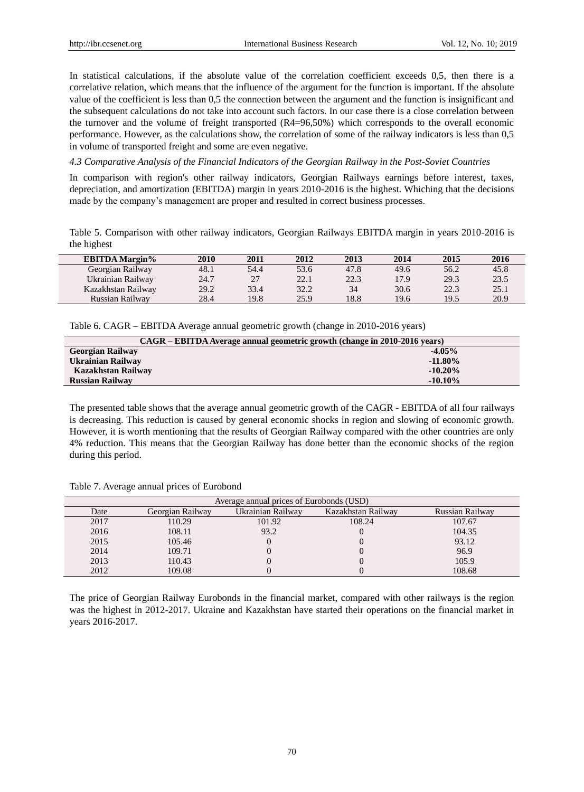In statistical calculations, if the absolute value of the correlation coefficient exceeds 0,5, then there is a correlative relation, which means that the influence of the argument for the function is important. If the absolute value of the coefficient is less than 0,5 the connection between the argument and the function is insignificant and the subsequent calculations do not take into account such factors. In our case there is a close correlation between the turnover and the volume of freight transported (R4=96,50%) which corresponds to the overall economic performance. However, as the calculations show, the correlation of some of the railway indicators is less than 0,5 in volume of transported freight and some are even negative.

*4.3 Comparative Analysis of the Financial Indicators of the Georgian Railway in the Post-Soviet Countries* 

In comparison with region's other railway indicators, Georgian Railways earnings before interest, taxes, depreciation, and amortization (EBITDA) margin in years 2010-2016 is the highest. Whiching that the decisions made by the company's management are proper and resulted in correct business processes.

Table 5. Comparison with other railway indicators, Georgian Railways EBITDA margin in years 2010-2016 is the highest

| <b>EBITDA Margin%</b> | 2010 | 2011 | 2012 | 2013 | 2014 | 2015 | 2016 |
|-----------------------|------|------|------|------|------|------|------|
| Georgian Railway      | 48.1 | 54.4 | 53.6 | 47.8 | 49.6 | 56.2 | 45.8 |
| Ukrainian Railway     | 24.7 | 27   | 22.1 | 22.3 | 17.9 | 29.3 | 23.5 |
| Kazakhstan Railway    | 29.2 | 33.4 | 32.2 | 34   | 30.6 | 22.3 | 25.1 |
| Russian Railway       | 28.4 | 19.8 | 25.9 | 18.8 | 19.6 | 19.5 | 20.9 |

Table 6. CAGR – EBITDA Average annual geometric growth (change in 2010-2016 years)

|                         | CAGR – EBITDA Average annual geometric growth (change in 2010-2016 years) |  |  |  |  |  |  |  |  |
|-------------------------|---------------------------------------------------------------------------|--|--|--|--|--|--|--|--|
| <b>Georgian Railway</b> | $-4.05\%$                                                                 |  |  |  |  |  |  |  |  |
| Ukrainian Railway       | $-11.80\%$                                                                |  |  |  |  |  |  |  |  |
| Kazakhstan Railway      | $-10.20\%$                                                                |  |  |  |  |  |  |  |  |
| <b>Russian Railway</b>  | $-10.10\%$                                                                |  |  |  |  |  |  |  |  |

The presented table shows that the average annual geometric growth of the CAGR - EBITDA of all four railways is decreasing. This reduction is caused by general economic shocks in region and slowing of economic growth. However, it is worth mentioning that the results of Georgian Railway compared with the other countries are only 4% reduction. This means that the Georgian Railway has done better than the economic shocks of the region during this period.

Table 7. Average annual prices of Eurobond

| Average annual prices of Eurobonds (USD) |                  |                   |                    |                 |  |  |  |  |  |  |
|------------------------------------------|------------------|-------------------|--------------------|-----------------|--|--|--|--|--|--|
| Date                                     | Georgian Railway | Ukrainian Railwav | Kazakhstan Railway | Russian Railway |  |  |  |  |  |  |
| 2017                                     | 110.29           | 101.92            | 108.24             | 107.67          |  |  |  |  |  |  |
| 2016                                     | 108.11           | 93.2              |                    | 104.35          |  |  |  |  |  |  |
| 2015                                     | 105.46           |                   |                    | 93.12           |  |  |  |  |  |  |
| 2014                                     | 109.71           |                   |                    | 96.9            |  |  |  |  |  |  |
| 2013                                     | 110.43           |                   |                    | 105.9           |  |  |  |  |  |  |
| 2012                                     | 109.08           |                   |                    | 108.68          |  |  |  |  |  |  |

The price of Georgian Railway Eurobonds in the financial market, compared with other railways is the region was the highest in 2012-2017. Ukraine and Kazakhstan have started their operations on the financial market in years 2016-2017.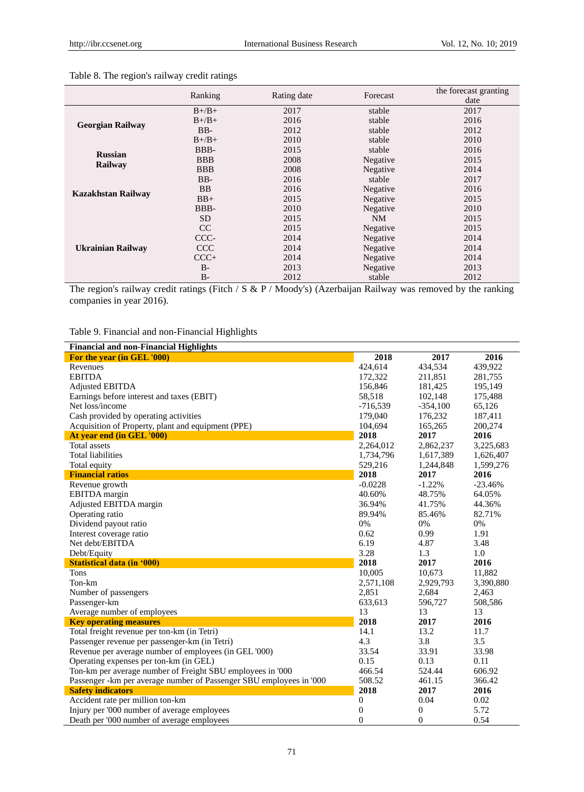|                           | Ranking    | Rating date | Forecast  | the forecast granting |
|---------------------------|------------|-------------|-----------|-----------------------|
|                           |            |             |           | date                  |
|                           | $B+/B+$    | 2017        | stable    | 2017                  |
| <b>Georgian Railway</b>   | $B+/B+$    | 2016        | stable    | 2016                  |
|                           | $BB-$      | 2012        | stable    | 2012                  |
|                           | $B+/B+$    | 2010        | stable    | 2010                  |
| <b>Russian</b>            | BBB-       | 2015        | stable    | 2016                  |
|                           | <b>BBB</b> | 2008        | Negative  | 2015                  |
| Railway                   | <b>BBB</b> | 2008        | Negative  | 2014                  |
|                           | $BB-$      | 2016        | stable    | 2017                  |
|                           | <b>BB</b>  | 2016        | Negative  | 2016                  |
| <b>Kazakhstan Railway</b> | $BB+$      | 2015        | Negative  | 2015                  |
|                           | BBB-       | 2010        | Negative  | 2010                  |
|                           | <b>SD</b>  | 2015        | <b>NM</b> | 2015                  |
|                           | CC         | 2015        | Negative  | 2015                  |
|                           | CCC-       | 2014        | Negative  | 2014                  |
| Ukrainian Railway         | <b>CCC</b> | 2014        | Negative  | 2014                  |
|                           | $CCC+$     | 2014        | Negative  | 2014                  |
|                           | $B -$      | 2013        | Negative  | 2013                  |
|                           | $B -$      | 2012        | stable    | 2012                  |

Table 8. The region's railway credit ratings

The region's railway credit ratings (Fitch / S & P / Moody's) (Azerbaijan Railway was removed by the ranking companies in year 2016).

## Table 9. Financial and non-Financial Highlights

| <b>Financial and non-Financial Highlights</b>                       |                  |                  |           |
|---------------------------------------------------------------------|------------------|------------------|-----------|
| For the year (in GEL '000)                                          | 2018             | 2017             | 2016      |
| Revenues                                                            | 424,614          | 434,534          | 439,922   |
| <b>EBITDA</b>                                                       | 172,322          | 211,851          | 281,755   |
| <b>Adjusted EBITDA</b>                                              | 156,846          | 181,425          | 195,149   |
| Earnings before interest and taxes (EBIT)                           | 58,518           | 102,148          | 175,488   |
| Net loss/income                                                     | $-716,539$       | $-354,100$       | 65,126    |
| Cash provided by operating activities                               | 179,040          | 176,232          | 187,411   |
| Acquisition of Property, plant and equipment (PPE)                  | 104.694          | 165,265          | 200,274   |
| At year end (in GEL '000)                                           | 2018             | 2017             | 2016      |
| Total assets                                                        | 2,264,012        | 2,862,237        | 3,225,683 |
| <b>Total liabilities</b>                                            | 1,734,796        | 1,617,389        | 1,626,407 |
| Total equity                                                        | 529,216          | 1,244,848        | 1,599,276 |
| <b>Financial ratios</b>                                             | 2018             | 2017             | 2016      |
| Revenue growth                                                      | $-0.0228$        | $-1.22%$         | $-23.46%$ |
| EBITDA margin                                                       | 40.60%           | 48.75%           | 64.05%    |
| Adjusted EBITDA margin                                              | 36.94%           | 41.75%           | 44.36%    |
| Operating ratio                                                     | 89.94%           | 85.46%           | 82.71%    |
| Dividend payout ratio                                               | 0%               | 0%               | 0%        |
| Interest coverage ratio                                             | 0.62             | 0.99             | 1.91      |
| Net debt/EBITDA                                                     | 6.19             | 4.87             | 3.48      |
| Debt/Equity                                                         | 3.28             | 1.3              | 1.0       |
| <b>Statistical data (in '000)</b>                                   | 2018             | 2017             | 2016      |
| Tons                                                                | 10,005           | 10,673           | 11,882    |
| Ton-km                                                              | 2,571,108        | 2,929,793        | 3,390,880 |
| Number of passengers                                                | 2,851            | 2,684            | 2,463     |
| Passenger-km                                                        | 633,613          | 596,727          | 508,586   |
| Average number of employees                                         | 13               | 13               | 13        |
| <b>Key operating measures</b>                                       | 2018             | 2017             | 2016      |
| Total freight revenue per ton-km (in Tetri)                         | 14.1             | 13.2             | 11.7      |
| Passenger revenue per passenger-km (in Tetri)                       | 4.3              | 3.8              | 3.5       |
| Revenue per average number of employees (in GEL '000)               | 33.54            | 33.91            | 33.98     |
| Operating expenses per ton-km (in GEL)                              | 0.15             | 0.13             | 0.11      |
| Ton-km per average number of Freight SBU employees in '000          | 466.54           | 524.44           | 606.92    |
| Passenger -km per average number of Passenger SBU employees in '000 | 508.52           | 461.15           | 366.42    |
| <b>Safety indicators</b>                                            | 2018             | 2017             | 2016      |
| Accident rate per million ton-km                                    | $\mathbf{0}$     | 0.04             | 0.02      |
| Injury per '000 number of average employees                         | $\boldsymbol{0}$ | $\boldsymbol{0}$ | 5.72      |
| Death per '000 number of average employees                          | $\overline{0}$   | $\overline{0}$   | 0.54      |

71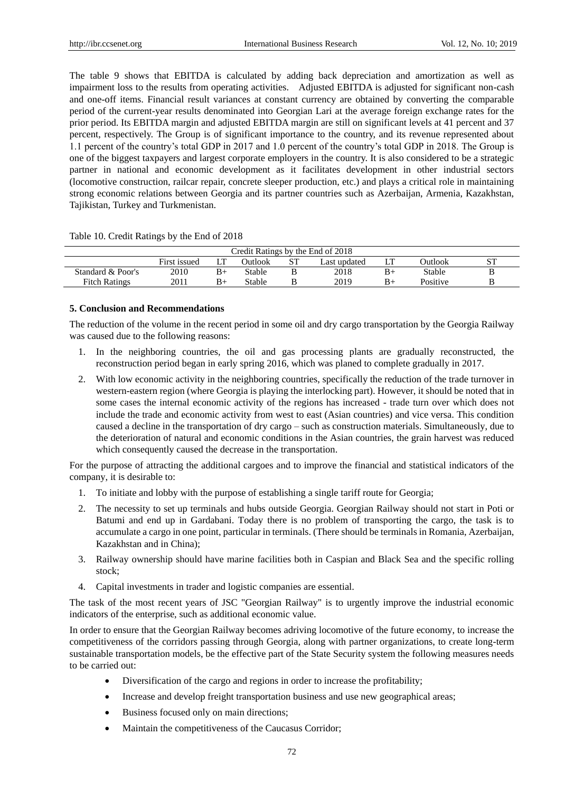The table 9 shows that EBITDA is calculated by adding back depreciation and amortization as well as impairment loss to the results from operating activities. Adjusted EBITDA is adjusted for significant non-cash and one-off items. Financial result variances at constant currency are obtained by converting the comparable period of the current-year results denominated into Georgian Lari at the average foreign exchange rates for the prior period. Its EBITDA margin and adjusted EBITDA margin are still on significant levels at 41 percent and 37 percent, respectively. The Group is of significant importance to the country, and its revenue represented about 1.1 percent of the country's total GDP in 2017 and 1.0 percent of the country's total GDP in 2018. The Group is one of the biggest taxpayers and largest corporate employers in the country. It is also considered to be a strategic partner in national and economic development as it facilitates development in other industrial sectors (locomotive construction, railcar repair, concrete sleeper production, etc.) and plays a critical role in maintaining strong economic relations between Georgia and its partner countries such as Azerbaijan, Armenia, Kazakhstan, Tajikistan, Turkey and Turkmenistan.

Table 10. Credit Ratings by the End of 2018

| Credit Ratings by the End of 2018 |              |      |               |  |              |      |                |           |  |
|-----------------------------------|--------------|------|---------------|--|--------------|------|----------------|-----------|--|
|                                   | First issued |      | Outlook       |  | Last undated |      | <b>Outlook</b> | <b>ST</b> |  |
| Standard & Poor's                 | 2010         | B+   | <b>Stable</b> |  | 2018         | B+   | Stable         |           |  |
| <b>Fitch Ratings</b>              | 2011         | $B+$ | Stable        |  | 2019         | $B+$ | Positive       |           |  |

## **5. Conclusion and Recommendations**

The reduction of the volume in the recent period in some oil and dry cargo transportation by the Georgia Railway was caused due to the following reasons:

- 1. In the neighboring countries, the oil and gas processing plants are gradually reconstructed, the reconstruction period began in early spring 2016, which was planed to complete gradually in 2017.
- 2. With low economic activity in the neighboring countries, specifically the reduction of the trade turnover in western-eastern region (where Georgia is playing the interlocking part). However, it should be noted that in some cases the internal economic activity of the regions has increased - trade turn over which does not include the trade and economic activity from west to east (Asian countries) and vice versa. This condition caused a decline in the transportation of dry cargo – such as construction materials. Simultaneously, due to the deterioration of natural and economic conditions in the Asian countries, the grain harvest was reduced which consequently caused the decrease in the transportation.

For the purpose of attracting the additional cargoes and to improve the financial and statistical indicators of the company, it is desirable to:

- 1. To initiate and lobby with the purpose of establishing a single tariff route for Georgia;
- 2. The necessity to set up terminals and hubs outside Georgia. Georgian Railway should not start in Poti or Batumi and end up in Gardabani. Today there is no problem of transporting the cargo, the task is to accumulate a cargo in one point, particular in terminals. (There should be terminals in Romania, Azerbaijan, Kazakhstan and in China);
- 3. Railway ownership should have marine facilities both in Caspian and Black Sea and the specific rolling stock;
- 4. Capital investments in trader and logistic companies are essential.

The task of the most recent years of JSC "Georgian Railway" is to urgently improve the industrial economic indicators of the enterprise, such as additional economic value.

In order to ensure that the Georgian Railway becomes adriving locomotive of the future economy, to increase the competitiveness of the corridors passing through Georgia, along with partner organizations, to create long-term sustainable transportation models, be the effective part of the State Security system the following measures needs to be carried out:

- Diversification of the cargo and regions in order to increase the profitability;
- Increase and develop freight transportation business and use new geographical areas;
- Business focused only on main directions;
- Maintain the competitiveness of the Caucasus Corridor;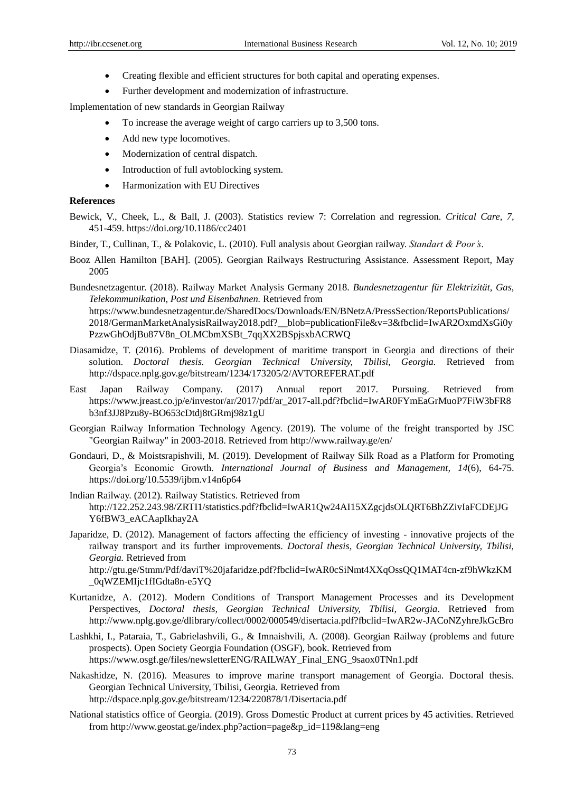- Creating flexible and efficient structures for both capital and operating expenses.
- Further development and modernization of infrastructure.

Implementation of new standards in Georgian Railway

- To increase the average weight of cargo carriers up to 3,500 tons.
- Add new type locomotives.
- Modernization of central dispatch.
- Introduction of full avtoblocking system.
- Harmonization with EU Directives

## **References**

- Bewick, V., Cheek, L., & Ball, J. (2003). Statistics review 7: Correlation and regression. *Critical Care, 7,*  451-459. https://doi.org/10.1186/cc2401
- Binder, T., Cullinan, T., & Polakovic, L. (2010). Full analysis about Georgian railway. *Standart & Poor's*.
- Booz Allen Hamilton [BAH]. (2005). Georgian Railways Restructuring Assistance. Assessment Report, May 2005

Bundesnetzagentur. (2018). Railway Market Analysis Germany 2018. *Bundesnetzagentur für Elektrizität, Gas, Telekommunikation, Post und Eisenbahnen.* Retrieved from [https://www.bundesnetzagentur.de/SharedDocs/Downloads/EN/BNetzA/PressSection/ReportsPublications/](https://www.bundesnetzagentur.de/SharedDocs/Downloads/EN/BNetzA/PressSection/ReportsPublications/2018/GermanMarketAnalysisRailway2018.pdf?__blob=publicationFile&v=3&fbclid=IwAR2OxmdXsGi0yPzzwGhOdjBu87V8n_OLMCbmXSBt_7qqXX2BSpjsxbACRWQ) [2018/GermanMarketAnalysisRailway2018.pdf?\\_\\_blob=publicationFile&v=3&fbclid=IwAR2OxmdXsGi0y](https://www.bundesnetzagentur.de/SharedDocs/Downloads/EN/BNetzA/PressSection/ReportsPublications/2018/GermanMarketAnalysisRailway2018.pdf?__blob=publicationFile&v=3&fbclid=IwAR2OxmdXsGi0yPzzwGhOdjBu87V8n_OLMCbmXSBt_7qqXX2BSpjsxbACRWQ) [PzzwGhOdjBu87V8n\\_OLMCbmXSBt\\_7qqXX2BSpjsxbACRWQ](https://www.bundesnetzagentur.de/SharedDocs/Downloads/EN/BNetzA/PressSection/ReportsPublications/2018/GermanMarketAnalysisRailway2018.pdf?__blob=publicationFile&v=3&fbclid=IwAR2OxmdXsGi0yPzzwGhOdjBu87V8n_OLMCbmXSBt_7qqXX2BSpjsxbACRWQ)

- Diasamidze, T. (2016). Problems of development of maritime transport in Georgia and directions of their solution. *Doctoral thesis. Georgian Technical University, Tbilisi, Georgia.* Retrieved from <http://dspace.nplg.gov.ge/bitstream/1234/173205/2/AVTOREFERAT.pdf>
- East Japan Railway Company. (2017) Annual report 2017. Pursuing. Retrieved from [https://www.jreast.co.jp/e/investor/ar/2017/pdf/ar\\_2017-all.pdf?fbclid=IwAR0FYmEaGrMuoP7FiW3bFR8](https://www.jreast.co.jp/e/investor/ar/2017/pdf/ar_2017-all.pdf?fbclid=IwAR0FYmEaGrMuoP7FiW3bFR8b3nf3JJ8Pzu8y-BO653cDtdj8tGRmj98z1gU) [b3nf3JJ8Pzu8y-BO653cDtdj8tGRmj98z1gU](https://www.jreast.co.jp/e/investor/ar/2017/pdf/ar_2017-all.pdf?fbclid=IwAR0FYmEaGrMuoP7FiW3bFR8b3nf3JJ8Pzu8y-BO653cDtdj8tGRmj98z1gU)
- Georgian Railway Information Technology Agency. (2019). The volume of the freight transported by JSC "Georgian Railway" in 2003-2018. Retrieved from<http://www.railway.ge/en/>
- Gondauri, D., & Moistsrapishvili, M. (2019). Development of Railway Silk Road as a Platform for Promoting Georgia's Economic Growth. *International Journal of Business and Management, 14*(6), 64-75. https://doi.org/10.5539/ijbm.v14n6p64
- Indian Railway. (2012). Railway Statistics. Retrieved from [http://122.252.243.98/ZRTI1/statistics.pdf?fbclid=IwAR1Qw24AI15XZgcjdsOLQRT6BhZZivIaFCDEjJG](http://122.252.243.98/ZRTI1/statistics.pdf?fbclid=IwAR1Qw24AI15XZgcjdsOLQRT6BhZZivIaFCDEjJGY6fBW3_eACAapIkhay2A) [Y6fBW3\\_eACAapIkhay2A](http://122.252.243.98/ZRTI1/statistics.pdf?fbclid=IwAR1Qw24AI15XZgcjdsOLQRT6BhZZivIaFCDEjJGY6fBW3_eACAapIkhay2A)
- Japaridze, D. (2012). Management of factors affecting the efficiency of investing innovative projects of the railway transport and its further improvements. *Doctoral thesis, Georgian Technical University, Tbilisi, Georgia.* Retrieved from http://gtu.ge/Stmm/Pdf/daviT%20jafaridze.pdf?fbclid=IwAR0cSiNmt4XXqOssQQ1MAT4cn-zf9hWkzKM \_0qWZEMIjc1fIGdta8n-e5YQ
- Kurtanidze, A. (2012). Modern Conditions of Transport Management Processes and its Development Perspectives, *Doctoral thesis, Georgian Technical University, Tbilisi, Georgia*. Retrieved from http://www.nplg.gov.ge/dlibrary/collect/0002/000549/disertacia.pdf?fbclid=IwAR2w-JACoNZyhreJkGcBro
- Lashkhi, I., Pataraia, T., Gabrielashvili, G., & Imnaishvili, A. (2008). Georgian Railway (problems and future prospects). Open Society Georgia Foundation (OSGF), book. Retrieved from [https://www.osgf.ge/files/newsletterENG/RAILWAY\\_Final\\_ENG\\_9saox0TNn1.pdf](https://www.osgf.ge/files/newsletterENG/RAILWAY_Final_ENG_9saox0TNn1.pdf)
- Nakashidze, N. (2016). Measures to improve marine transport management of Georgia. Doctoral thesis. Georgian Technical University, Tbilisi, Georgia. Retrieved from <http://dspace.nplg.gov.ge/bitstream/1234/220878/1/Disertacia.pdf>
- National statistics office of Georgia. (2019). Gross Domestic Product at current prices by 45 activities. Retrieved from http://www.geostat.ge/index.php?action=page&p\_id=119&lang=eng